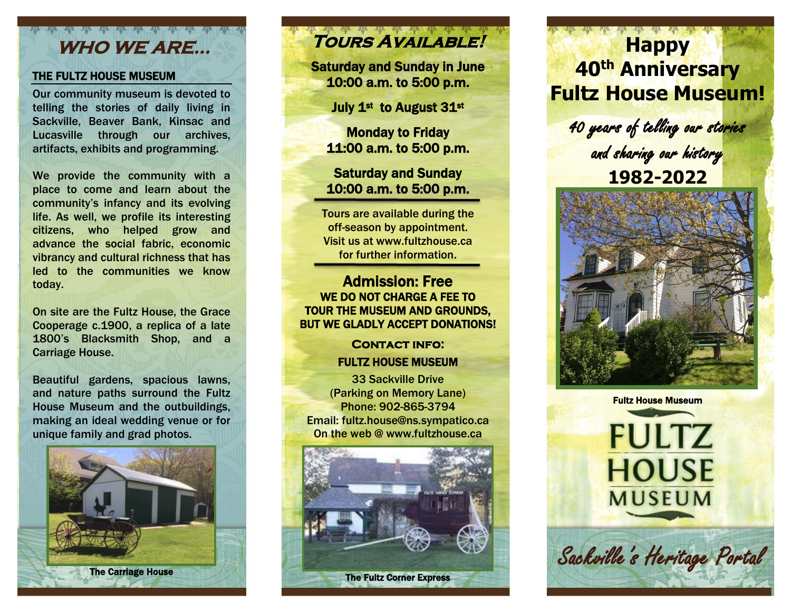### **WHO WE ARE…**

#### THE FULTZ HOUSE MUSEUM

Our community museum is devoted to telling the stories of daily living in Sackville, Beaver Bank, Kinsac and Lucasville through our archives, artifacts, exhibits and programming.

We provide the community with a place to come and learn about the community's infancy and its evolving life. As well, we profile its interesting citizens, who helped grow and advance the social fabric, economic vibrancy and cultural richness that has led to the communities we know today.

On site are the Fultz House, the Grace Cooperage c.1900, a replica of a late 1800's Blacksmith Shop, and a Carriage House.

Beautiful gardens, spacious lawns, and nature paths surround the Fultz House Museum and the outbuildings, making an ideal wedding venue or for unique family and grad photos.



# **Tours Available!**

Saturday and Sunday in June 10:00 a.m. to 5:00 p.m.

July 1<sup>st</sup> to August 31st

Monday to Friday 11:00 a.m. to 5:00 p.m.

#### Saturday and Sunday 10:00 a.m. to 5:00 p.m.

Tours are available during the off-season by appointment. Visit us at www.fultzhouse.ca for further information.

#### Admission: Free WE DO NOT CHARGE A FEE TO TOUR THE MUSEUM AND GROUNDS, BUT WE GLADLY ACCEPT DONATIONS!

**CONTACT INFO:** FULTZ HOUSE MUSEUM

33 Sackville Drive (Parking on Memory Lane) Phone: 902-865-3794 Email: fultz.house@ns.sympatico.ca On the web @ [www.fultzhouse.ca](http://www.fultzhouse.ca/)



The Fultz Corner Express

ׇ֚֬

## **Happy 40 th Anniversary Fultz House Museum!**

40 years of telling our stories and sharing our history **1982-2022**



Fultz House Museum

**FULTZ** 

**HOUSE** 

**MUSEUM** 

Sackville's Heritage Portal